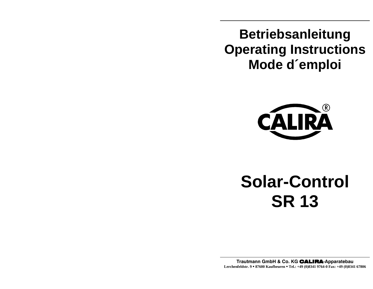**Betriebsanleitung Operating Instructions Mode d´emploi** 



# **Solar-Control SR 13**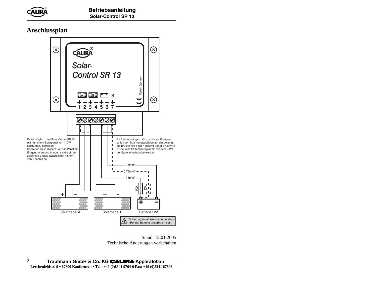#### **Anschlussplan**



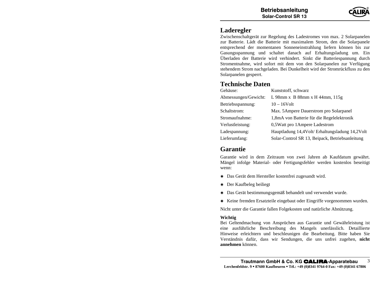### **Laderegler**

 Zwischenschaltgerät zur Regelung des Ladestromes von max. 2 Solarpanelen zur Batterie. Lädt die Batterie mit maximalem Strom, den die Solarpanele entsprechend der momentanen Sonneneinstrahlung liefern können bis zur Gasungsspannung und schaltet danach auf Erhaltungsladung um. Ein Überladen der Batterie wird verhindert. Sinkt die Batteriespannung durch Stromentnahme, wird sofort mit dem von den Solarpanelen zur Verfügung stehendem Strom nachgeladen. Bei Dunkelheit wird der Stromrückfluss zu den Solarpanelen gesperrt.

#### **Technische Daten**

| Gehäuse:             | Kunststoff, schwarz                             |
|----------------------|-------------------------------------------------|
| Abmessungen/Gewicht: | L 98mm x B 88mm x H 44mm, 115g                  |
| Betriebsspannung:    | $10 - 16$ Volt                                  |
| Schaltstrom:         | Max. 5 Ampere Dauerstrom pro Solarpanel         |
| Stromaufnahme:       | 1,8mA von Batterie für die Regelelektronik      |
| Verlustleistung:     | 0,5Watt pro 1Ampere Ladestrom                   |
| Ladespannung:        | Hauptladung 14,4Volt/Erhaltungsladung 14,2Volt  |
| Lieferumfang:        | Solar-Control SR 13, Beipack, Betriebsanleitung |

#### **Garantie**

 Garantie wird in dem Zeitraum von zwei Jahren ab Kaufdatum gewährt. Mängel infolge Material- oder Fertigungsfehler werden kostenlos beseitigt wenn:

- Das Gerät dem Hersteller kostenfrei zugesandt wird.
- Der Kaufbeleg beiliegt
- Das Gerät bestimmungsgemäß behandelt und verwendet wurde.
- Keine fremden Ersatzteile eingebaut oder Eingriffe vorgenommen wurden.

Nicht unter die Garantie fallen Folgekosten und natürliche Abnützung.

#### **Wichtig**

 Bei Geltendmachung von Ansprüchen aus Garantie und Gewährleistung ist eine ausführliche Beschreibung des Mangels unerlässlich. Detaillierte Hinweise erleichtern und beschleunigen die Bearbeitung. Bitte haben Sie Verständnis dafür, dass wir Sendungen, die uns unfrei zugehen, **nicht annehmen** können.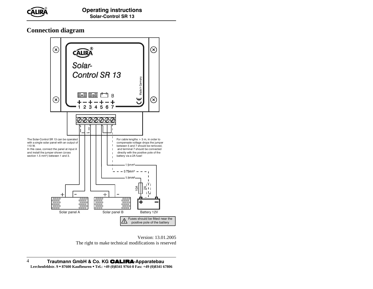**Connection diagram** 



Version: 13.01.2005 The right to make technical modifications is reserved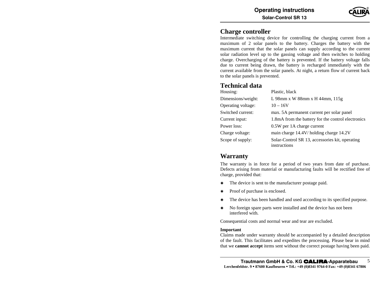

#### **Charge controller**

 Intermediate switching device for controlling the charging current from a maximum of 2 solar panels to the battery. Charges the battery with the maximum current that the solar panels can supply according to the current solar radiation level up to the gassing voltage and then switches to holding charge. Overcharging of the battery is prevented. If the battery voltage falls due to current being drawn, the battery is recharged immediately with the current available from the solar panels. At night, a return flow of current back to the solar panels is prevented.

#### **Technical data**

| Housing:           | Plastic, black                                                  |
|--------------------|-----------------------------------------------------------------|
| Dimensions/weight: | L 98mm x W 88mm x H 44mm, 115g                                  |
| Operating voltage: | $10 - 16V$                                                      |
| Switched current:  | max. 5A permanent current per solar panel                       |
| Current input:     | 1.8 mA from the battery for the control electronics             |
| Power loss:        | 0.5W per 1A charge current                                      |
| Charge voltage:    | main charge 14.4V/ holding charge 14.2V                         |
| Scope of supply:   | Solar-Control SR 13, accessories kit, operating<br>instructions |

#### **Warranty**

 The warranty is in force for a period of two years from date of purchase. Defects arising from material or manufacturing faults will be rectified free of charge, provided that:

- $\ast$ The device is sent to the manufacturer postage paid.
- $\ast$ Proof of purchase is enclosed.
- $\ast$ The device has been handled and used according to its specified purpose.
- $\ast$  No foreign spare parts were installed and the device has not been interfered with.

Consequential costs and normal wear and tear are excluded.

#### **Important**

 Claims made under warranty should be accompanied by a detailed description of the fault. This facilitates and expedites the processing. Please bear in mind that we **cannot accept** items sent without the correct postage having been paid.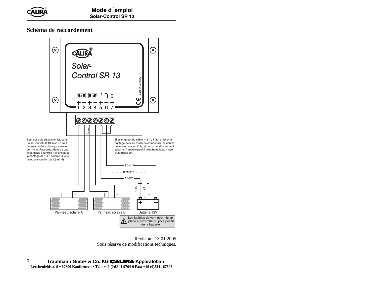Mode d´emploi Solar-Control SR 13

**Schéma de raccordement** 



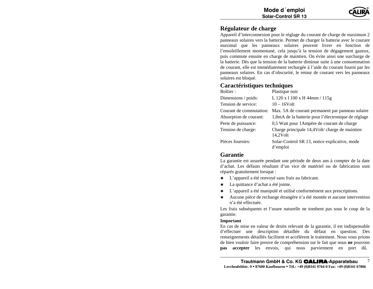#### **Régulateur de charge**

 Appareil d'interconnexion pour le réglage du courant de charge de maximum 2 panneaux solaires vers la batterie. Permet de charger la batterie avec le courant maximal que les panneaux solaires peuvent livrer en fonction de l'ensoleillement momentané, cela jusqu'à la tension de dégagement gazeux, puis commute ensuite en charge de maintien. On évite ainsi une surcharge de la batterie. Dès que la tension de la batterie diminue suite à une consommation de courant, elle est immédiatement rechargée à l'aide du courant fourni par les panneaux solaires. En cas d'obscurité, le retour de courant vers les panneaux solaires est bloqué.

#### **Caractéristiques techniques**

| Boîtier :               | Plastique noir                                                |
|-------------------------|---------------------------------------------------------------|
| Dimensions / poids:     | L 120 x 1 100 x H 44mm / 115g                                 |
| Tension de service:     | $10 - 16$ Volt                                                |
| Courant de commutation: | Max. 5A de courant permanent par panneau solaire              |
| Absorption de courant:  | 1,8mA de la batterie pour l'électronique de réglage           |
| Perte de puissance:     | 0,5 Watt pour 1 Ampère de courant de charge                   |
| Tension de charge:      | Charge principale 14,4Volt/ charge de maintien<br>$14,2$ Volt |
| Pièces fournies:        | Solar-Control SR 13, notice explicative, mode<br>d'emploi     |

#### **Garantie**

 La garantie est assurée pendant une période de deux ans à compter de la date d'achat. Les défauts résultant d'un vice de matériel ou de fabrication sont réparés gratuitement lorsque :

- $\,$   $\,$ L'appareil a été renvoyé sans frais au fabricant.
- \* La quittance d'achat a été jointe.
- $\ast$ L'appareil a été manipulé et utilisé conformément aux prescriptions.
- $\,$   $\,$  Aucune pièce de rechange étrangère n'a été montée et aucune intervention n'a été effectuée.

Les frais subséquents et l'usure naturelle ne tombent pas sous le coup de la garantie.

#### **Important**

En cas de mise en valeur de droits relevant de la garantie, il est indispensable d'effectuer une description détaillée du défaut en question. Des renseignements détaillés facilitent et accélèrent le traitement. Nous vous prions de bien vouloir faire preuve de compréhension sur le fait que nous **ne** pouvons **pas accepter** les envois, qui nous parviennent en port dû.